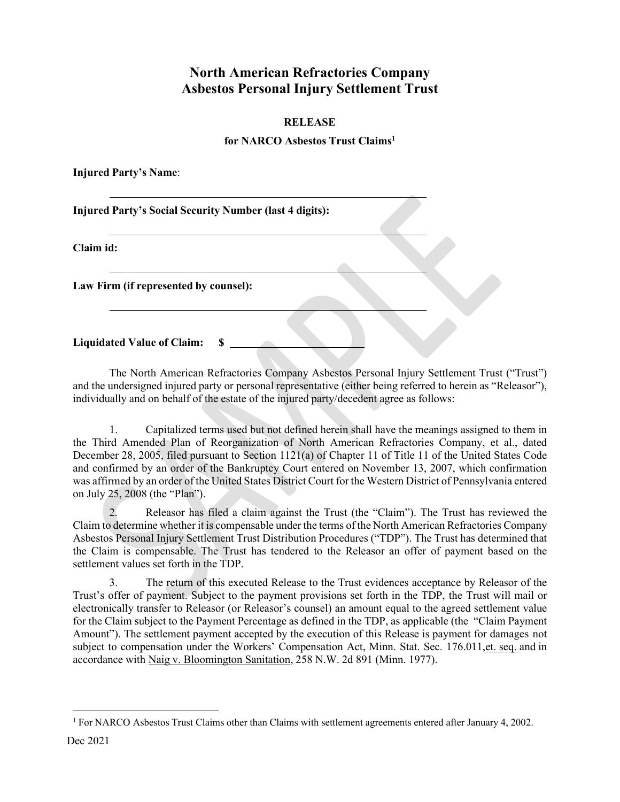## **North American Refractories Company Asbestos Personal Injury Settlement Trust**

## **RELEASE**

## **for NARCO Asbestos Trust Claim[s1](#page-0-0)**

**Injured Party's Name**:

**Injured Party's Social Security Number (last 4 digits):**

**Claim id:**

**Law Firm (if represented by counsel):**

**Liquidated Value of Claim: \$** 

The North American Refractories Company Asbestos Personal Injury Settlement Trust ("Trust") and the undersigned injured party or personal representative (either being referred to herein as "Releasor"), individually and on behalf of the estate of the injured party/decedent agree as follows:

1. Capitalized terms used but not defined herein shall have the meanings assigned to them in the Third Amended Plan of Reorganization of North American Refractories Company, et al., dated December 28, 2005, filed pursuant to Section 1121(a) of Chapter 11 of Title 11 of the United States Code and confirmed by an order of the Bankruptcy Court entered on November 13, 2007, which confirmation was affirmed by an order of the United States District Court for the Western District of Pennsylvania entered on July 25, 2008 (the "Plan").

2. Releasor has filed a claim against the Trust (the "Claim"). The Trust has reviewed the Claim to determine whether it is compensable under the terms of the North American Refractories Company Asbestos Personal Injury Settlement Trust Distribution Procedures ("TDP"). The Trust has determined that the Claim is compensable. The Trust has tendered to the Releasor an offer of payment based on the settlement values set forth in the TDP.

3. The return of this executed Release to the Trust evidences acceptance by Releasor of the Trust's offer of payment. Subject to the payment provisions set forth in the TDP, the Trust will mail or electronically transfer to Releasor (or Releasor's counsel) an amount equal to the agreed settlement value for the Claim subject to the Payment Percentage as defined in the TDP, as applicable (the "Claim Payment Amount"). The settlement payment accepted by the execution of this Release is payment for damages not subject to compensation under the Workers' Compensation Act, Minn. Stat. Sec. 176.011,et. seq. and in accordance with Naig v. Bloomington Sanitation, 258 N.W. 2d 891 (Minn. 1977).

<span id="page-0-0"></span><sup>&</sup>lt;sup>1</sup> For NARCO Asbestos Trust Claims other than Claims with settlement agreements entered after January 4, 2002.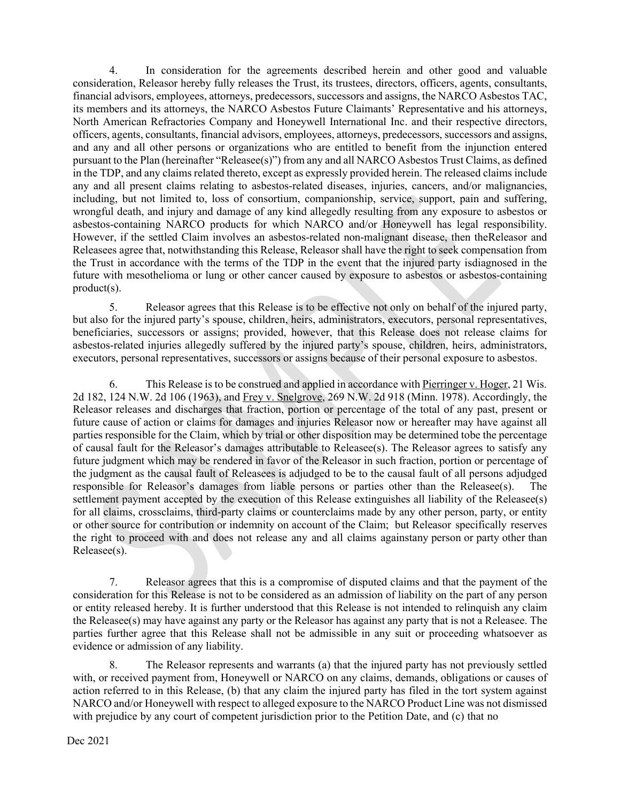4. In consideration for the agreements described herein and other good and valuable consideration, Releasor hereby fully releases the Trust, its trustees, directors, officers, agents, consultants, financial advisors, employees, attorneys, predecessors, successors and assigns, the NARCO Asbestos TAC, its members and its attorneys, the NARCO Asbestos Future Claimants' Representative and his attorneys, North American Refractories Company and Honeywell International Inc. and their respective directors, officers, agents, consultants, financial advisors, employees, attorneys, predecessors, successors and assigns, and any and all other persons or organizations who are entitled to benefit from the injunction entered pursuant to the Plan (hereinafter "Releasee(s)") from any and all NARCO Asbestos Trust Claims, as defined in the TDP, and any claims related thereto, except as expressly provided herein. The released claims include any and all present claims relating to asbestos-related diseases, injuries, cancers, and/or malignancies, including, but not limited to, loss of consortium, companionship, service, support, pain and suffering, wrongful death, and injury and damage of any kind allegedly resulting from any exposure to asbestos or asbestos-containing NARCO products for which NARCO and/or Honeywell has legal responsibility. However, if the settled Claim involves an asbestos-related non-malignant disease, then theReleasor and Releasees agree that, notwithstanding this Release, Releasor shall have the right to seek compensation from the Trust in accordance with the terms of the TDP in the event that the injured party isdiagnosed in the future with mesothelioma or lung or other cancer caused by exposure to asbestos or asbestos-containing product(s).

5. Releasor agrees that this Release is to be effective not only on behalf of the injured party, but also for the injured party's spouse, children, heirs, administrators, executors, personal representatives, beneficiaries, successors or assigns; provided, however, that this Release does not release claims for asbestos-related injuries allegedly suffered by the injured party's spouse, children, heirs, administrators, executors, personal representatives, successors or assigns because of their personal exposure to asbestos.

6. This Release is to be construed and applied in accordance with Pierringer v. Hoger, 21 Wis. 2d 182, 124 N.W. 2d 106 (1963), and Frey v. Snelgrove, 269 N.W. 2d 918 (Minn. 1978). Accordingly, the Releasor releases and discharges that fraction, portion or percentage of the total of any past, present or future cause of action or claims for damages and injuries Releasor now or hereafter may have against all parties responsible for the Claim, which by trial or other disposition may be determined tobe the percentage of causal fault for the Releasor's damages attributable to Releasee(s). The Releasor agrees to satisfy any future judgment which may be rendered in favor of the Releasor in such fraction, portion or percentage of the judgment as the causal fault of Releasees is adjudged to be to the causal fault of all persons adjudged responsible for Releasor's damages from liable persons or parties other than the Releasee(s). The settlement payment accepted by the execution of this Release extinguishes all liability of the Releasee(s) for all claims, crossclaims, third-party claims or counterclaims made by any other person, party, or entity or other source for contribution or indemnity on account of the Claim; but Releasor specifically reserves the right to proceed with and does not release any and all claims againstany person or party other than Releasee(s).

7. Releasor agrees that this is a compromise of disputed claims and that the payment of the consideration for this Release is not to be considered as an admission of liability on the part of any person or entity released hereby. It is further understood that this Release is not intended to relinquish any claim the Releasee(s) may have against any party or the Releasor has against any party that is not a Releasee. The parties further agree that this Release shall not be admissible in any suit or proceeding whatsoever as evidence or admission of any liability.

8. The Releasor represents and warrants (a) that the injured party has not previously settled with, or received payment from, Honeywell or NARCO on any claims, demands, obligations or causes of action referred to in this Release, (b) that any claim the injured party has filed in the tort system against NARCO and/or Honeywell with respect to alleged exposure to the NARCO Product Line was not dismissed with prejudice by any court of competent jurisdiction prior to the Petition Date, and (c) that no